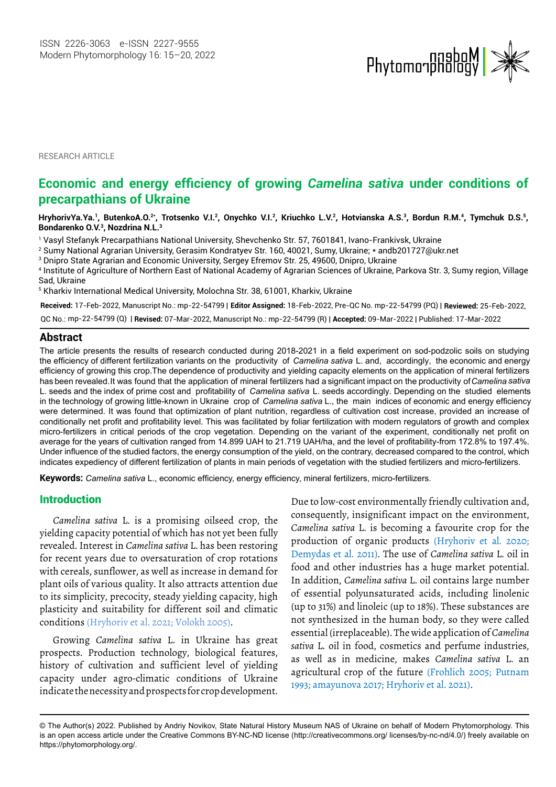

RESEARCH ARTICLE

# **Economic and energy efficiency of growing** *Camelina sativa* **under conditions of precarpathians of Ukraine**

HryhorivYa.Ya.', ButenkoA.O.<sup>2</sup>\*, Trotsenko V.I.<sup>2</sup>, Onychko V.I.<sup>2</sup>, Kriuchko L.V.<sup>2</sup>, Hotvianska A.S.<sup>3</sup>, Bordun R.M.<sup>4</sup>, Tymchuk D.S.<sup>5</sup>, **Bondarenko O.V.3 , Nozdrina N.L.3**

1 Vasyl Stefanyk Precarpathians National University, Shevchenko Str. 57, 7601841, Ivano-Frankivsk, Ukraine

2 Sumy National Agrarian University, Gerasim Kondratyev Str. 160, 40021, Sumy, Ukraine; \* [andb201727@ukr.net](mailto:andb201727@ukr.net) 

3 Dnipro State Agrarian and Economic University, Sergey Efremov Str. 25, 49600, Dnipro, Ukraine

4 Institute of Agriculture of Northern East of National Academy of Agrarian Sciences of Ukraine, Parkova Str. 3, Sumy region, Village Sad, Ukraine

5 Kharkiv International Medical University, Molochna Str. 38, 61001, Kharkiv, Ukraine

**Received:** 17-Feb-2022, Manuscript No.: mp-22-54799 | **Editor Assigned:** 18-Feb-2022, Pre-QC No. mp-22-54799 (PQ) | **Reviewed:** 25-Feb-2022,

mp-22-54799 (Q) | **Revised:** 07-Mar-2022, Manuscript No.: mp-22-54799 (R) | **Accepted:** 09-Mar-2022 | Published: 17-Mar-2022 QC No.:

### **Abstract**

The article presents the results of research conducted during 2018-2021 in a field experiment on sod-podzolic soils on studying efficiency of growing this crop.The dependence of productivity and yielding capacity elements on the application of mineral fertilizers were determined. It was found that optimization of plant nutrition, regardless of cultivation cost increase, provided an increase of conditionally net profit and profitability level. This was facilitated by foliar fertilization with modern regulators of growth and complex micro-fertilizers in critical periods of the crop vegetation. Depending on the variant of the experiment, conditionally net profit on average for the years of cultivation ranged from 14.899 UAH to 21.719 UAH/ha, and the level of profitability-from 172.8% to 197.4%. Under influence of the studied factors, the energy consumption of the yield, on the contrary, decreased compared to the control, which indicates expediency of different fertilization of plants in main periods of vegetation with the studied fertilizers and micro-fertilizers. L. seeds and the index of prime cost and profitability of *Camelina sativa* L. seeds accordingly. Depending on the studied elements the efficiency of different fertilization variants on the productivity of *Camelina sativa* L. and, accordingly, the economic and energy Camelina sativa has been revealed. It was found that the application of mineral fertilizers had a significant impact on the productivity of *Camelina sativa* Camelina sativa in the technology of growing little-known in Ukraine crop of *Camelina sativa* L., the main indices of economic and energy efficiency

**Keywords:** *Camelina sativa* L., economic efficiency, energy efficiency, mineral fertilizers, micro-fertilizers.

### Introduction

*Camelina sativa* L. is a promising oilseed crop, the yielding capacity potential of which has not yet been fully revealed. Interest in *Camelina sativa* L. has been restoring for recent years due to oversaturation of crop rotations with cereals, sunflower, as well as increase in demand for plant oils of various quality. It also attracts attention due to its simplicity, precocity, steady yielding capacity, high plasticity and suitability for different soil and climatic conditions (Hryhoriv et al. 2021; Volokh 2005).

Growing *Camelina sativa* L. in Ukraine has great prospects. Production technology, biological features, history of cultivation and sufficient level of yielding capacity under agro-climatic conditions of Ukraine indicate the necessity and prospects for crop development. Due to low-cost environmentally friendly cultivation and, consequently, insignificant impact on the environment, *Camelina sativa* L. is becoming a favourite crop for the production of organic products (Hryhoriv et al. 2020; Demydas et al. 2011). The use of *Camelina sativa* L. oil in food and other industries has a huge market potential. In addition, *Camelina sativa* L. oil contains large number of essential polyunsaturated acids, including linolenic (up to 31%) and linoleic (up to 18%). These substances are not synthesized in the human body, so they were called essential (irreplaceable). The wide application of *Camelina sativa* L. oil in food, cosmetics and perfume industries, as well as in medicine, makes *Camelina sativa* L. an agricultural crop of the future (Frohlich 2005; Putnam 1993; amayunova 2017; Hryhoriv et al. 2021).

<sup>©</sup> The Author(s) 2022. Published by Andriy Novikov, State Natural History Museum NAS of Ukraine on behalf of Modern Phytomorphology. This is an open access article under the Creative Commons BY-NC-ND license (http://creativecommons.org/ licenses/by-nc-nd/4.0/) freely available on https://phytomorphology.org/.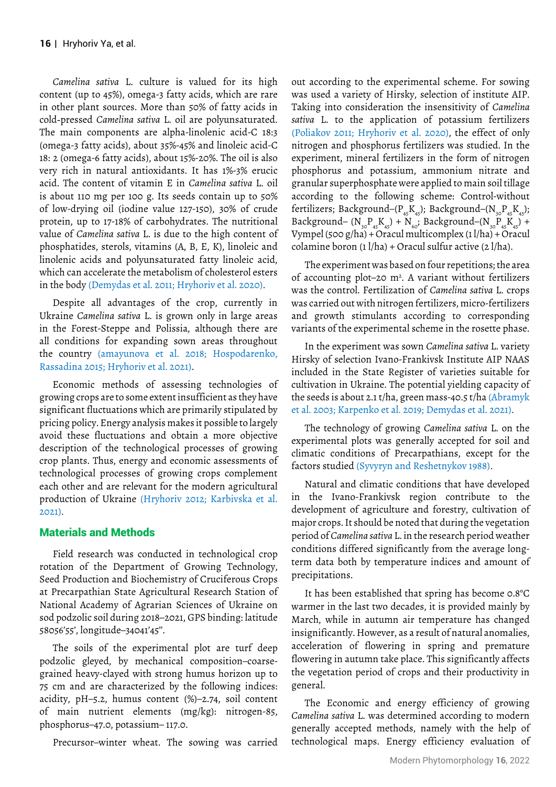*Camelina sativa* L. culture is valued for its high content (up to 45%), omega-3 fatty acids, which are rare in other plant sources. More than 50% of fatty acids in cold-pressed *Camelina sativa* L. oil are polyunsaturated. The main components are alpha-linolenic acid-C 18:3 (omega-3 fatty acids), about 35%-45% and linoleic acid-C 18: 2 (omega-6 fatty acids), about 15%-20%. The oil is also very rich in natural antioxidants. It has 1%-3% erucic acid. The content of vitamin E in *Camelina sativa* L. oil is about 110 mg per 100 g. Its seeds contain up to 50% of low-drying oil (iodine value 127-150), 30% of crude protein, up to 17-18% of carbohydrates. The nutritional value of *Camelina sativa* L. is due to the high content of phosphatides, sterols, vitamins (A, B, E, K), linoleic and linolenic acids and polyunsaturated fatty linoleic acid, which can accelerate the metabolism of cholesterol esters in the body (Demydas et al. 2011; Hryhoriv et al. 2020).

Despite all advantages of the crop, currently in Ukraine *Camelina sativa* L. is grown only in large areas in the Forest-Steppe and Polissia, although there are all conditions for expanding sown areas throughout the country (amayunova et al. 2018; Hospodarenko, Rassadina 2015; Hryhoriv et al. 2021).

Economic methods of assessing technologies of growing crops are to some extent insufficient as they have significant fluctuations which are primarily stipulated by pricing policy. Energy analysis makes it possible to largely avoid these fluctuations and obtain a more objective description of the technological processes of growing crop plants. Thus, energy and economic assessments of technological processes of growing crops complement each other and are relevant for the modern agricultural production of Ukraine (Hryhoriv 2012; Karbivska et al. 2021).

# Materials and Methods

Field research was conducted in technological crop rotation of the Department of Growing Technology, Seed Production and Biochemistry of Cruciferous Crops at Precarpathian State Agricultural Research Station of National Academy of Agrarian Sciences of Ukraine on sod podzolic soil during 2018–2021, GPS binding: latitude 58056'55', longitude–34041'45''.

The soils of the experimental plot are turf deep podzolic gleyed, by mechanical composition–coarsegrained heavy-clayed with strong humus horizon up to 75 cm and are characterized by the following indices: acidity, pH–5.2, humus content (%)–2.74, soil content of main nutrient elements (mg/kg): nitrogen-85, phosphorus–47.0, potassium– 117.0.

Precursor–winter wheat. The sowing was carried

out according to the experimental scheme. For sowing was used a variety of Hirsky, selection of institute AIP. Taking into consideration the insensitivity of *Camelina sativa* L. to the application of potassium fertilizers (Poliakov 2011; Hryhoriv et al. 2020), the effect of only nitrogen and phosphorus fertilizers was studied. In the experiment, mineral fertilizers in the form of nitrogen phosphorus and potassium, ammonium nitrate and granular superphosphate were applied to main soil tillage according to the following scheme: Control-without fertilizers; Background– $(P_{45}K_{45})$ ; Background– $(N_{30}P_{45}K_{45})$ ; Background–  $(N_{30}P_{45}K_{45})$  +  $N_{60}$ ; Background– $(N_{30}P_{45}K_{45})$  + Vympel (500 g/ha) + Oracul multicomplex (1 l/ha) + Oracul colamine boron  $(1 / ha) + O$ racul sulfur active  $(2 / ha)$ .

The experiment was based on four repetitions; the area of accounting plot-20  $m^2$ . A variant without fertilizers was the control. Fertilization of *Camelina sativa* L. crops was carried out with nitrogen fertilizers, micro-fertilizers and growth stimulants according to corresponding variants of the experimental scheme in the rosette phase.

In the experiment was sown *Camelina sativa* L. variety Hirsky of selection Ivano-Frankivsk Institute AIP NAAS included in the State Register of varieties suitable for cultivation in Ukraine. The potential yielding capacity of the seeds is about 2.1 t/ha, green mass-40.5 t/ha (Abramyk et al. 2003; Karpenko et al. 2019; Demydas et al. 2021).

The technology of growing *Camelina sativa* L. on the experimental plots was generally accepted for soil and climatic conditions of Precarpathians, except for the factors studied (Syvyryn and Reshetnykov 1988).

Natural and climatic conditions that have developed in the Ivano-Frankivsk region contribute to the development of agriculture and forestry, cultivation of major crops. It should be noted that during the vegetation period of *Camelina sativa* L. in the research period weather conditions differed significantly from the average longterm data both by temperature indices and amount of precipitations.

It has been established that spring has become 0.8°C warmer in the last two decades, it is provided mainly by March, while in autumn air temperature has changed insignificantly. However, as a result of natural anomalies, acceleration of flowering in spring and premature flowering in autumn take place. This significantly affects the vegetation period of crops and their productivity in general.

The Economic and energy efficiency of growing *Camelina sativa* L. was determined according to modern generally accepted methods, namely with the help of technological maps. Energy efficiency evaluation of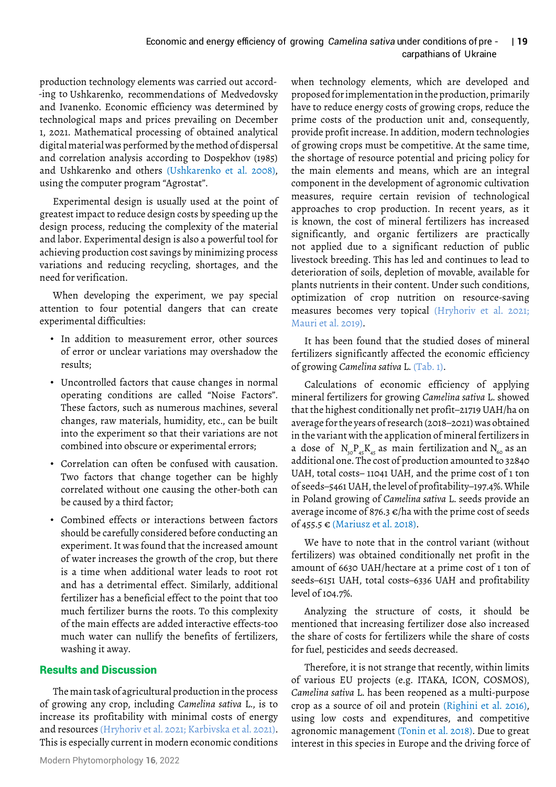## Economic and energy efficiency of growing *Camelina sativa* under conditions of pre - | 19 carpathians of Ukraine

production technology elements was carried out accordand Ivanenko. Economic efficiency was determined by technological maps and prices prevailing on December 1, 2021. Mathematical processing of obtained analytical digital material was performed by the method of dispersal and correlation analysis according to Dospekhov (1985) and Ushkarenko and others (Ushkarenko et al. 2008), using the computer program "Agrostat". -ing to Ushkarenko, recommendations of Medvedovsky

Experimental design is usually used at the point of greatest impact to reduce design costs by speeding up the design process, reducing the complexity of the material and labor. Experimental design is also a powerful tool for achieving production cost savings by minimizing process variations and reducing recycling, shortages, and the need for verification.

When developing the experiment, we pay special attention to four potential dangers that can create experimental difficulties:

- In addition to measurement error, other sources of error or unclear variations may overshadow the results;
- Uncontrolled factors that cause changes in normal operating conditions are called "Noise Factors". These factors, such as numerous machines, several changes, raw materials, humidity, etc., can be built into the experiment so that their variations are not combined into obscure or experimental errors;
- Correlation can often be confused with causation. Two factors that change together can be highly correlated without one causing the other-both can be caused by a third factor;
- Combined effects or interactions between factors should be carefully considered before conducting an experiment. It was found that the increased amount of water increases the growth of the crop, but there is a time when additional water leads to root rot and has a detrimental effect. Similarly, additional fertilizer has a beneficial effect to the point that too much fertilizer burns the roots. To this complexity of the main effects are added interactive effects-too much water can nullify the benefits of fertilizers, washing it away.

# Results and Discussion

The main task of agricultural production in the process of growing any crop, including *Camelina sativa* L., is to increase its profitability with minimal costs of energy and resources (Hryhoriv et al. 2021; Karbivska et al. 2021). This is especially current in modern economic conditions

Modern Phytomorphology **16**, 2022

when technology elements, which are developed and proposed for implementation in the production, primarily have to reduce energy costs of growing crops, reduce the prime costs of the production unit and, consequently, provide profit increase. In addition, modern technologies of growing crops must be competitive. At the same time, the shortage of resource potential and pricing policy for the main elements and means, which are an integral component in the development of agronomic cultivation measures, require certain revision of technological approaches to crop production. In recent years, as it is known, the cost of mineral fertilizers has increased significantly, and organic fertilizers are practically not applied due to a significant reduction of public livestock breeding. This has led and continues to lead to deterioration of soils, depletion of movable, available for plants nutrients in their content. Under such conditions, optimization of crop nutrition on resource-saving measures becomes very topical (Hryhoriv et al. 2021; Mauri et al. 2019).

It has been found that the studied doses of mineral fertilizers significantly affected the economic efficiency of growing *Camelina sativa* L. (Tab. 1).

Calculations of economic efficiency of applying mineral fertilizers for growing *Camelina sativa* L. showed that the highest conditionally net profit–21719 UAH/ha on average for the years of research (2018–2021) was obtained in the variant with the application of mineral fertilizers in additional one. The cost of production amounted to 32840 UAH, total costs– 11041 UAH, and the prime cost of 1 ton of seeds–5461 UAH, the level of profitability–197.4%. While in Poland growing of *Camelina sativa* L. seeds provide an average income of 876.3  $\varepsilon$ /ha with the prime cost of seeds of 455.5 € (Mariusz et al. 2018). a dose of  $N_{30}P_{45}K_{45}$  as main fertilization and  $N_{60}$  as an

We have to note that in the control variant (without fertilizers) was obtained conditionally net profit in the amount of 6630 UAH/hectare at a prime cost of 1 ton of seeds–6151 UAH, total costs–6336 UAH and profitability level of 104.7%.

Analyzing the structure of costs, it should be mentioned that increasing fertilizer dose also increased the share of costs for fertilizers while the share of costs for fuel, pesticides and seeds decreased.

Therefore, it is not strange that recently, within limits of various EU projects (e.g. ITAKA, ICON, COSMOS), *Camelina sativa* L. has been reopened as a multi-purpose crop as a source of oil and protein (Righini et al. 2016), using low costs and expenditures, and competitive agronomic management (Tonin et al. 2018). Due to great interest in this species in Europe and the driving force of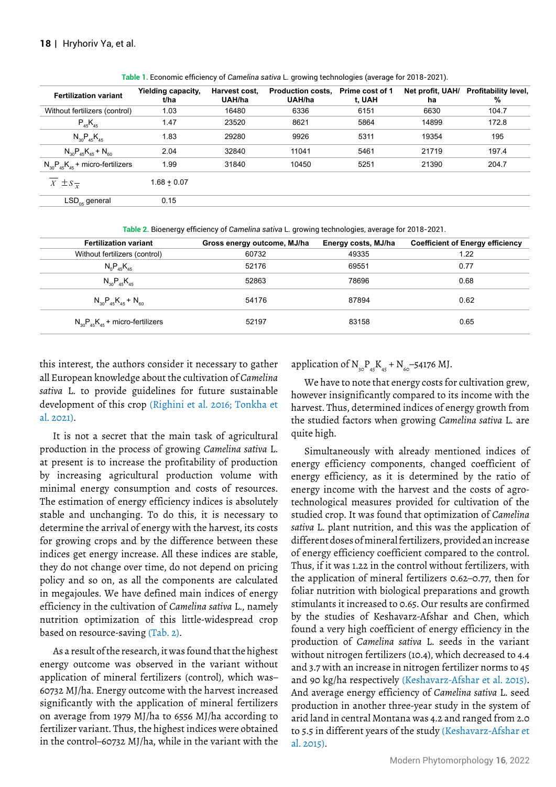| <b>Fertilization variant</b>             | Yielding capacity,<br>t/ha | Harvest cost.<br>UAH/ha | <b>Production costs.</b><br>UAH/ha | Prime cost of 1<br>t. UAH | ha    | Net profit, UAH/ Profitability level,<br>$\%$ |
|------------------------------------------|----------------------------|-------------------------|------------------------------------|---------------------------|-------|-----------------------------------------------|
| Without fertilizers (control)            | 1.03                       | 16480                   | 6336                               | 6151                      | 6630  | 104.7                                         |
| $P_{45}K_{45}$                           | 1.47                       | 23520                   | 8621                               | 5864                      | 14899 | 172.8                                         |
| $N_{30}P_{45}K_{45}$                     | 1.83                       | 29280                   | 9926                               | 5311                      | 19354 | 195                                           |
| $N_{30}P_{45}K_{45} + N_{60}$            | 2.04                       | 32840                   | 11041                              | 5461                      | 21719 | 197.4                                         |
| $N_{30}P_{45}K_{45}$ + micro-fertilizers | 1.99                       | 31840                   | 10450                              | 5251                      | 21390 | 204.7                                         |
| $\overline{X} \pm S_{\overline{x}}$      | $1.68 + 0.07$              |                         |                                    |                           |       |                                               |
| $LSD_{\alpha s}$ general                 | 0.15                       |                         |                                    |                           |       |                                               |
|                                          |                            |                         |                                    |                           |       |                                               |

**Table 1.** Economic efficiency of *Camelina sativa* L. growing technologies (average for 2018-2021).

**Table 2.** Bioenergy efficiency of *Camelina sativa* L. growing technologies, average for 2018-2021.

| <b>Fertilization variant</b>             | Gross energy outcome, MJ/ha | Energy costs, MJ/ha | <b>Coefficient of Energy efficiency</b> |
|------------------------------------------|-----------------------------|---------------------|-----------------------------------------|
| Without fertilizers (control)            | 60732                       | 49335               | 1.22                                    |
| $N_0P_{45}K_{45}$                        | 52176                       | 69551               | 0.77                                    |
| $N_{30}P_{45}K_{45}$                     | 52863                       | 78696               | 0.68                                    |
| $N_{30}P_{45}K_{45}+N_{60}$              | 54176                       | 87894               | 0.62                                    |
| $N_{30}P_{45}K_{45}$ + micro-fertilizers | 52197                       | 83158               | 0.65                                    |
|                                          |                             |                     |                                         |

this interest, the authors consider it necessary to gather all European knowledge about the cultivation of *Camelina sativa* L. to provide guidelines for future sustainable development of this crop (Righini et al. 2016; Tonkha et al. 2021).

It is not a secret that the main task of agricultural production in the process of growing *Camelina sativa* L. at present is to increase the profitability of production by increasing agricultural production volume with minimal energy consumption and costs of resources. The estimation of energy efficiency indices is absolutely stable and unchanging. To do this, it is necessary to determine the arrival of energy with the harvest, its costs for growing crops and by the difference between these indices get energy increase. All these indices are stable, they do not change over time, do not depend on pricing policy and so on, as all the components are calculated in megajoules. We have defined main indices of energy efficiency in the cultivation of *Camelina sativa* L., namely nutrition optimization of this little-widespread crop based on resource-saving (Tab. 2).

As a result of the research, it was found that the highest energy outcome was observed in the variant without application of mineral fertilizers (control), which was– 60732 MJ/ha. Energy outcome with the harvest increased significantly with the application of mineral fertilizers on average from 1979 MJ/ha to 6556 MJ/ha according to fertilizer variant. Thus, the highest indices were obtained in the control–60732 MJ/ha, while in the variant with the

application of  $N_{30}P_{45}K_{45} + N_{60} - 54176$  MJ.

We have to note that energy costs for cultivation grew, however insignificantly compared to its income with the harvest. Thus, determined indices of energy growth from the studied factors when growing *Camelina sativa* L. are quite high.

Simultaneously with already mentioned indices of energy efficiency components, changed coefficient of energy efficiency, as it is determined by the ratio of energy income with the harvest and the costs of agrotechnological measures provided for cultivation of the studied crop. It was found that optimization of *Camelina sativa* L. plant nutrition, and this was the application of different doses of mineral fertilizers, provided an increase of energy efficiency coefficient compared to the control. Thus, if it was 1.22 in the control without fertilizers, with the application of mineral fertilizers 0.62–0.77, then for foliar nutrition with biological preparations and growth stimulants it increased to 0.65. Our results are confirmed by the studies of Keshavarz-Afshar and Chen, which found a very high coefficient of energy efficiency in the production of *Camelina sativa* L. seeds in the variant without nitrogen fertilizers (10.4), which decreased to 4.4 and 3.7 with an increase in nitrogen fertilizer norms to 45 and 90 kg/ha respectively (Keshavarz-Afshar et al. 2015). And average energy efficiency of *Camelina sativa* L. seed production in another three-year study in the system of arid land in central Montana was 4.2 and ranged from 2.0 to 5.5 in different years of the study (Keshavarz-Afshar et al. 2015).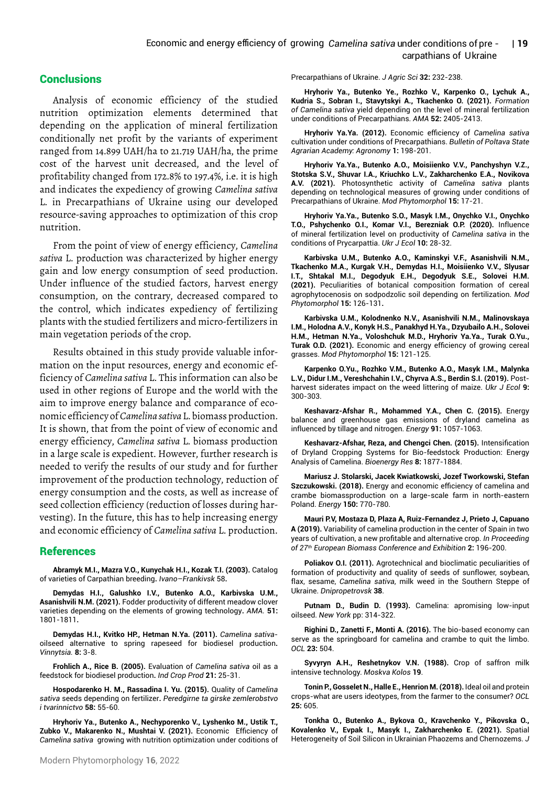## Conclusions

Analysis of economic efficiency of the studied nutrition optimization elements determined that depending on the application of mineral fertilization conditionally net profit by the variants of experiment ranged from 14.899 UAH/ha to 21.719 UAH/ha, the prime cost of the harvest unit decreased, and the level of profitability changed from 172.8% to 197.4%, i.e. it is high and indicates the expediency of growing *Camelina sativa* L. in Precarpathians of Ukraine using our developed resource-saving approaches to optimization of this crop nutrition.

From the point of view of energy efficiency, *Camelina sativa* L. production was characterized by higher energy gain and low energy consumption of seed production. Under influence of the studied factors, harvest energy consumption, on the contrary, decreased compared to the control, which indicates expediency of fertilizing plants with the studied fertilizers and micro-fertilizers in main vegetation periods of the crop.

Results obtained in this study provide valuable information on the input resources, energy and economic efficiency of *Camelina sativa* L. This information can also be used in other regions of Europe and the world with the aim to improve energy balance and comparance of economic efficiency of *Camelina sativa* L. biomass production. It is shown, that from the point of view of economic and energy efficiency, *Camelina sativa* L. biomass production in a large scale is expedient. However, further research is needed to verify the results of our study and for further improvement of the production technology, reduction of energy consumption and the costs, as well as increase of seed collection efficiency (reduction of losses during harvesting). In the future, this has to help increasing energy and economic efficiency of *Camelina sativa* L. production.

### References

**Abramyk M.I., Mazra V.O., Kunychak H.I., Kozak T.I. (2003).** [Catalog](https://scholar.google.com/scholar?hl=en&as_sdt=0%2C5&q=Abramyk+M.I.%2C+Mazra+V.O.%2C+Kunychak+H.I.%2C+Kozak+T.I.+%282003%29.+Catalog+of+varieties+of+Carpathian+breeding.+Ivano%E2%80%93Frankivsk.+58&btnG=)  [of varieties of Carpathian breeding](https://scholar.google.com/scholar?hl=en&as_sdt=0%2C5&q=Abramyk+M.I.%2C+Mazra+V.O.%2C+Kunychak+H.I.%2C+Kozak+T.I.+%282003%29.+Catalog+of+varieties+of+Carpathian+breeding.+Ivano%E2%80%93Frankivsk.+58&btnG=)**.** *Ivano–Frankivsk* 58**.**

**Demydas H.I., Galushko I.V., Butenko A.O., Karbivska U.M., Asanishvili N.M. (2021).** [Fodder productivity of different meadow clover](http://lib.udau.edu.ua/handle/123456789/8846)  [varieties depending on the elements of growing technology](http://lib.udau.edu.ua/handle/123456789/8846)**.** *AMA.* **51:** 1801-1811**.** 

**Demydas H.I., Kvitko HP., Hetman N.Ya. (2011).** *[Camelina sativa](https://cyberleninka.ru/article/n/influence-of-mineral-fertilization-level-on-productivity-of-camelina-sativa-in-the-conditions-of-prycarpattia)*[oilseed alternative to spring rapeseed for biodiesel production](https://cyberleninka.ru/article/n/influence-of-mineral-fertilization-level-on-productivity-of-camelina-sativa-in-the-conditions-of-prycarpattia)**.** *Vinnytsia.* **8:** 3-8.

**Frohlich A., Rice B. (2005).** Evaluation of *[Camelina sativa](https://www.sciencedirect.com/science/article/abs/pii/S0926669003001493)* oil as a [feedstock for biodiesel production](https://www.sciencedirect.com/science/article/abs/pii/S0926669003001493)**.** *Ind Crop Prod* **21:** 25-31.

**Hospodarenko H. M., Rassadina I. Yu. (2015).** [Quality of](https://scholar.google.com/scholar?hl=en&as_sdt=0%2C5&q=Hospodarenko+H.+M.%2C+Rassadina+I.+Yu.+%282015%29.+Quality+of+Camelina+sativa+seeds+depending+on+fertilizer.+Peredgirne+ta+girske+zemlerobstvo+i+tvarinnictvo+58%3A+55-60.&btnG=) *Camelina sativa* [seeds depending on fertilizer](https://scholar.google.com/scholar?hl=en&as_sdt=0%2C5&q=Hospodarenko+H.+M.%2C+Rassadina+I.+Yu.+%282015%29.+Quality+of+Camelina+sativa+seeds+depending+on+fertilizer.+Peredgirne+ta+girske+zemlerobstvo+i+tvarinnictvo+58%3A+55-60.&btnG=)**.** *Peredgirne ta girske zemlerobstvo i tvarinnictvo* **58:** 55-60.

**Hryhoriv Ya., Butenko A., Nechyporenko V., Lyshenko M., Ustik T., Zubko V., Makarenko N., Mushtai V. (2021).** [Economic Efficiency of](https://dspace.emu.ee/handle/10492/7161)  *Camelina sativa* [growing with nutrition optimization under coditions of](https://dspace.emu.ee/handle/10492/7161)  [Precarpathians of Ukraine](https://dspace.emu.ee/handle/10492/7161). *J Agric Sci* **32:** 232-238.

**Hryhoriv Ya., Butenko Ye., Rozhko V., Karpenko O., Lychuk A., Kudria S., Sobran I., Stavytskyi A., Tkachenko O. (2021).** *[Formation](https://scholar.google.com/scholar?hl=en&as_sdt=0%2C5&q=Hryhoriv+Ya.%2C+Butenko+Ye.%2C+Rozhko+V.%2C+Karpenko+O.%2C+Lychuk+A.%2C+Kudria+S.%2C+Sobran+I.%2C+Stavytskyi+A.%2C+Tkachenko+O.+%282021%29.+Formation+of+Camelina+sativa+yield+depending+on+the+level+of+mineral+fertilization+under+conditions+of+Precarpathians.+Agricultural+Mechanization+in+Asia.+52%3A+2405-2413.&btnG=)  of Camelina sativa* [yield depending on the level of mineral fertilization](https://scholar.google.com/scholar?hl=en&as_sdt=0%2C5&q=Hryhoriv+Ya.%2C+Butenko+Ye.%2C+Rozhko+V.%2C+Karpenko+O.%2C+Lychuk+A.%2C+Kudria+S.%2C+Sobran+I.%2C+Stavytskyi+A.%2C+Tkachenko+O.+%282021%29.+Formation+of+Camelina+sativa+yield+depending+on+the+level+of+mineral+fertilization+under+conditions+of+Precarpathians.+Agricultural+Mechanization+in+Asia.+52%3A+2405-2413.&btnG=) [under conditions of Precarpathians](https://scholar.google.com/scholar?hl=en&as_sdt=0%2C5&q=Hryhoriv+Ya.%2C+Butenko+Ye.%2C+Rozhko+V.%2C+Karpenko+O.%2C+Lychuk+A.%2C+Kudria+S.%2C+Sobran+I.%2C+Stavytskyi+A.%2C+Tkachenko+O.+%282021%29.+Formation+of+Camelina+sativa+yield+depending+on+the+level+of+mineral+fertilization+under+conditions+of+Precarpathians.+Agricultural+Mechanization+in+Asia.+52%3A+2405-2413.&btnG=). *AMA* **52:** 2405-2413.

**Hryhoriv Ya.Ya. (2012).** [Economic efficiency of](https://dspace.emu.ee/handle/10492/7161) *Camelina sativa* [cultivation under conditions of Precarpathians](https://dspace.emu.ee/handle/10492/7161). *Bulletin of Poltava State Agrarian Academy: Agronomy* **1:** 198-201.

**Hryhoriv Ya.Ya., Butenko A.O., Moisiienko V.V., Panchуshуn V.Z., Stotska S.V., Shuvar I.A., Kriuchko L.V., Zakharchenko E.A., Novikova A.V. (2021).** [Photosynthetic activity of](https://www.phytomorphology.com/articles/photosynthetic-activity-of-camelina-sativa-plants-depending-on-technological-measures-of-growing-under-conditions-of-pre.pdf) *Camelina sativa* plants [depending on technological measures of growing under conditions of](https://www.phytomorphology.com/articles/photosynthetic-activity-of-camelina-sativa-plants-depending-on-technological-measures-of-growing-under-conditions-of-pre.pdf)  [Precarpathians of Ukraine](https://www.phytomorphology.com/articles/photosynthetic-activity-of-camelina-sativa-plants-depending-on-technological-measures-of-growing-under-conditions-of-pre.pdf). *Mod Phytomorphol* **15:** 17-21.

**Hryhoriv Ya.Ya., Butenko S.O., Masyk I.M., Onychko V.I., Onychko T.O., Pshychenko O.I., Komar V.I., Berezniak O.P. (2020).** [Influence](https://cyberleninka.ru/article/n/influence-of-mineral-fertilization-level-on-productivity-of-camelina-sativa-in-the-conditions-of-prycarpattia)  [of mineral fertilization level on productivity of](https://cyberleninka.ru/article/n/influence-of-mineral-fertilization-level-on-productivity-of-camelina-sativa-in-the-conditions-of-prycarpattia) *Camelina sativa* in the [conditions of Prycarpattia.](https://cyberleninka.ru/article/n/influence-of-mineral-fertilization-level-on-productivity-of-camelina-sativa-in-the-conditions-of-prycarpattia) *Ukr J Ecol* **10:** 28-32.

**Karbivska U.M., Butenko A.O., Kaminskyi V.F., Asanishvili N.M., Tkachenko M.A., Kurgak V.Н., Demydas H.I., Moisiienko V.V., Slyusar I.T., Shtakal М.І., Degodyuk E.Н., Degodyuk S.E., Solovei Н.М. (2021).** [Peculiarities of botanical composition formation of cereal](https://www.phytomorphology.com/articles/peculiarities-of-botanical-composition-formation-of-cereal-agrophytocenosis-on-sodpodzolic-soil-depending-on-fertilizati.pdf)  [agrophytocenosis on sodpodzolic soil depending on fertilization.](https://www.phytomorphology.com/articles/peculiarities-of-botanical-composition-formation-of-cereal-agrophytocenosis-on-sodpodzolic-soil-depending-on-fertilizati.pdf) *Mod Phytomorphol* **15:** 126-131**.**

**Karbivska U.M., Kolodnenko N.V., Asanishvili N.M., Malinovskaya I.M., Holodna A.V., Konуk Н.S., Panakhyd H.Ya., Dzyubailo A.Н., Solovei Н.М., Hetman N.Ya., Voloshchuk M.D., Hryhoriv Ya.Ya., Turak O.Yu., Turak O.D. (2021).** [Economic and energy efficiency of growing cereal](https://www.phytomorphology.com/articles/economic-and-energy-efficiency-of-growing-cereal-grasses.pdf)  [grasses](https://www.phytomorphology.com/articles/economic-and-energy-efficiency-of-growing-cereal-grasses.pdf). *Mod Phytomorphol* **15:** 121-125.

**Karpenko O.Yu., Rozhko V.M., Butenko A.O., Masyk I.M., Malynka L.V., Didur I.M., Vereshchahin I.V., Chyrva A.S., Berdin S.I. (2019).** [Post](https://cyberleninka.ru/article/n/post-harvest-siderates-impact-on-the-weed-littering-of-maize)[harvest siderates impact on the weed littering of maize.](https://cyberleninka.ru/article/n/post-harvest-siderates-impact-on-the-weed-littering-of-maize) *Ukr J Ecol* **9:** 300-303.

**Keshavarz-Afshar R., Mohammed Y.A., Chen C. (2015).** Energy balance and greenhouse gas emissions of dryland camelina as influenced by tillage and nitrogen. *Energy* **91:** 1057-1063.

**Keshavarz-Afshar, Reza, and Chengci Chen. (2015).** [Intensification](https://link.springer.com/article/10.1007/s12155-015-9644-8)  [of Dryland Cropping Systems for Bio-feedstock Production: Energy](https://link.springer.com/article/10.1007/s12155-015-9644-8)  [Analysis of Camelina](https://link.springer.com/article/10.1007/s12155-015-9644-8). *Bioenergy Res* **8:** 1877-1884.

**Mariusz J. Stolarski, Jacek Kwiatkowski, Jozef Tworkowski, Stefan Szczukowski. (2018).** [Energy and economic efficiency of camelina and](https://www.sciencedirect.com/science/article/pii/S0360544218304195)  [crambe biomassproduction on a large-scale farm in north-eastern](https://www.sciencedirect.com/science/article/pii/S0360544218304195)  [Poland.](https://www.sciencedirect.com/science/article/pii/S0360544218304195) *Energy* **150:** 770-780.

**Mauri P.V, Mostaza D, Plaza A, Ruiz-Fernandez J, Prieto J, Capuano A (2019).** Variability of camelina production in the center of Spain in two years of cultivation, a new profitable and alternative crop. *In Proceeding of 27th European Biomass Conference and Exhibition* **2:** 196-200.

**Poliakov O.I. (2011).** [Agrotechnical and bioclimatic peculiarities of](https://scholar.google.com/scholar?hl=en&as_sdt=0%2C5&q=Poliakov+O.I.+%282011%29.+Agrotechnical+and+bioclimatic+peculiarities+of+formation+of+productivity+and+quality+of+seeds+of+sunflower%2C+soybean%2C+flax%2C+sesame%2C+Camelina+sativa%2C+milk+weed+in+the+Southern+Steppe+of+Ukraine.+Dnipropetrovsk%2C+38.&btnG=) [formation of productivity and quality of seeds of sunflower, soybean,](https://scholar.google.com/scholar?hl=en&as_sdt=0%2C5&q=Poliakov+O.I.+%282011%29.+Agrotechnical+and+bioclimatic+peculiarities+of+formation+of+productivity+and+quality+of+seeds+of+sunflower%2C+soybean%2C+flax%2C+sesame%2C+Camelina+sativa%2C+milk+weed+in+the+Southern+Steppe+of+Ukraine.+Dnipropetrovsk%2C+38.&btnG=) flax, sesame, *Camelina sativa*[, milk weed in the Southern Steppe of](https://scholar.google.com/scholar?hl=en&as_sdt=0%2C5&q=Poliakov+O.I.+%282011%29.+Agrotechnical+and+bioclimatic+peculiarities+of+formation+of+productivity+and+quality+of+seeds+of+sunflower%2C+soybean%2C+flax%2C+sesame%2C+Camelina+sativa%2C+milk+weed+in+the+Southern+Steppe+of+Ukraine.+Dnipropetrovsk%2C+38.&btnG=) [Ukraine](https://scholar.google.com/scholar?hl=en&as_sdt=0%2C5&q=Poliakov+O.I.+%282011%29.+Agrotechnical+and+bioclimatic+peculiarities+of+formation+of+productivity+and+quality+of+seeds+of+sunflower%2C+soybean%2C+flax%2C+sesame%2C+Camelina+sativa%2C+milk+weed+in+the+Southern+Steppe+of+Ukraine.+Dnipropetrovsk%2C+38.&btnG=). *Dnipropetrovsk* **38**.

**Putnam D., Budin D. (1993).** [Camelina: apromising low-input](https://scholar.google.com/scholar?hl=en&as_sdt=0%2C5&q=Putnam+D.%2C+Budin+D.+%281993%29.+Camelina%3A+apromising+low%E2%80%93+input+oilseed.+New+York.+314%E2%80%93322.&btnG=)  [oilseed](https://scholar.google.com/scholar?hl=en&as_sdt=0%2C5&q=Putnam+D.%2C+Budin+D.+%281993%29.+Camelina%3A+apromising+low%E2%80%93+input+oilseed.+New+York.+314%E2%80%93322.&btnG=). *New York* pp: 314-322.

**Righini D., Zanetti F., Monti A. (2016).** [The bio-based economy can](https://www.ocl-journal.org/articles/ocl/full_html/2016/05/ocl160021-s/ocl160021-s.html)  [serve as the springboard for camelina and crambe to quit the limbo.](https://www.ocl-journal.org/articles/ocl/full_html/2016/05/ocl160021-s/ocl160021-s.html) *OCL* **23:** 504.

**Syvyryn A.H., Reshetnykov V.N. (1988).** [Crop of saffron milk](https://scholar.google.com/scholar?hl=en&as_sdt=0%2C5&q=Syvyryn+A.H.%2C+Reshetnykov+V.N.+%281988%29.+Crop+of+saffron+milk+intensive+technology.+Moskva%2C+Kolos+19.&btnG=) [intensive technology.](https://scholar.google.com/scholar?hl=en&as_sdt=0%2C5&q=Syvyryn+A.H.%2C+Reshetnykov+V.N.+%281988%29.+Crop+of+saffron+milk+intensive+technology.+Moskva%2C+Kolos+19.&btnG=) *Moskva Kolos* **19**.

**Tonin P., Gosselet N., Halle E., Henrion M. (2018).** Ideal oil and protein crops-what are users ideotypes, from the farmer to the consumer? *OCL* **25:** 605.

**Tonkha O., Butenko A., Bykova O., Kravchenko Y., Pikovska O., Kovalenko V., Evpak I., Masyk I., Zakharchenko E. (2021).** [Spatial](https://yadda.icm.edu.pl/baztech/element/bwmeta1.element.baztech-16111de4-0629-49f7-b070-40419eb4109e)  [Heterogeneity of Soil Silicon in Ukrainian Phaozems and Chernozems.](https://yadda.icm.edu.pl/baztech/element/bwmeta1.element.baztech-16111de4-0629-49f7-b070-40419eb4109e) *J*